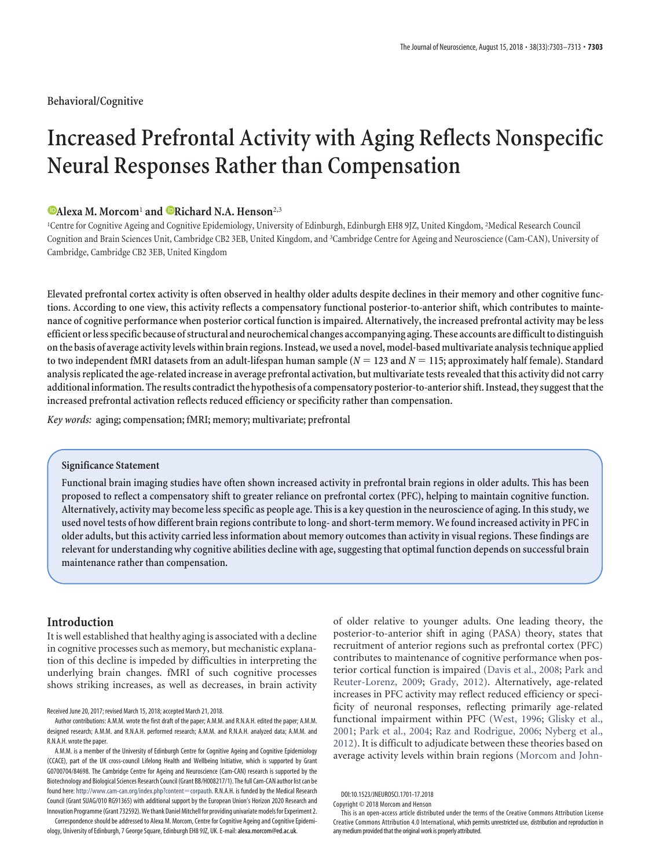**Behavioral/Cognitive**

# **Increased Prefrontal Activity with Aging Reflects Nonspecific Neural Responses Rather than Compensation**

# $\bullet$ **Alexa M. Morcom<sup>1</sup> and**  $\bullet$ **Richard N.A. Henson<sup>2,3</sup></u>**

<sup>1</sup>Centre for Cognitive Ageing and Cognitive Epidemiology, University of Edinburgh, Edinburgh EH8 9JZ, United Kingdom, <sup>2</sup>Medical Research Council Cognition and Brain Sciences Unit, Cambridge CB2 3EB, United Kingdom, and <sup>3</sup>Cambridge Centre for Ageing and Neuroscience (Cam-CAN), University of Cambridge, Cambridge CB2 3EB, United Kingdom

**Elevated prefrontal cortex activity is often observed in healthy older adults despite declines in their memory and other cognitive functions. According to one view, this activity reflects a compensatory functional posterior-to-anterior shift, which contributes to maintenance of cognitive performance when posterior cortical function is impaired. Alternatively, the increased prefrontal activity may be less efficient or less specific because of structural and neurochemical changes accompanying aging. These accounts are difficultto distinguish onthe basis of average activity levels within brain regions. Instead, we used a novel, model-based multivariate analysistechnique applied** to two independent fMRI datasets from an adult-lifespan human sample ( $N=123$  and  $N=115;$  approximately half female). Standard **analysis replicatedthe age-related increase in average prefrontal activation, but multivariatetests revealedthatthis activity did not carry** additional information. The results contradict the hypothesis of a compensatory posterior-to-anterior shift. Instead, they suggest that the **increased prefrontal activation reflects reduced efficiency or specificity rather than compensation.**

*Key words:* **aging; compensation; fMRI; memory; multivariate; prefrontal**

## **Significance Statement**

**Functional brain imaging studies have often shown increased activity in prefrontal brain regions in older adults. This has been proposed to reflect a compensatory shift to greater reliance on prefrontal cortex (PFC), helping to maintain cognitive function. Alternatively, activity may become less specific as people age. This is a key question in the neuroscience of aging. In this study, we used novel tests of how different brain regions contribute to long- and short-term memory. We found increased activity in PFC in older adults, but this activity carried less information about memory outcomes than activity in visual regions. These findings are relevant for understanding why cognitive abilities decline with age, suggesting that optimal function depends on successful brain maintenance rather than compensation.**

# **Introduction**

It is well established that healthy aging is associated with a decline in cognitive processes such as memory, but mechanistic explanation of this decline is impeded by difficulties in interpreting the underlying brain changes. fMRI of such cognitive processes shows striking increases, as well as decreases, in brain activity

Received June 20, 2017; revised March 15, 2018; accepted March 21, 2018.

Correspondence should be addressed to Alexa M. Morcom, Centre for Cognitive Ageing and Cognitive Epidemiology, University of Edinburgh, 7 George Square, Edinburgh EH8 9JZ, UK. E-mail: alexa.morcom@ed.ac.uk.

of older relative to younger adults. One leading theory, the posterior-to-anterior shift in aging (PASA) theory, states that recruitment of anterior regions such as prefrontal cortex (PFC) contributes to maintenance of cognitive performance when posterior cortical function is impaired [\(Davis et al., 2008;](#page-9-0) [Park and](#page-10-0) [Reuter-Lorenz, 2009;](#page-10-0) [Grady, 2012\)](#page-10-1). Alternatively, age-related increases in PFC activity may reflect reduced efficiency or specificity of neuronal responses, reflecting primarily age-related functional impairment within PFC [\(West, 1996;](#page-10-2) [Glisky et al.,](#page-9-1) [2001;](#page-9-1) [Park et al., 2004;](#page-10-3) [Raz and Rodrigue, 2006;](#page-10-4) [Nyberg et al.,](#page-10-5) [2012\)](#page-10-5). It is difficult to adjudicate between these theories based on average activity levels within brain regions [\(Morcom and John-](#page-10-6)

Author contributions: A.M.M. wrote the first draft of the paper; A.M.M. and R.N.A.H. edited the paper; A.M.M. designed research; A.M.M. and R.N.A.H. performed research; A.M.M. and R.N.A.H. analyzed data; A.M.M. and R.N.A.H. wrote the paper.

A.M.M. is a member of the University of Edinburgh Centre for Cognitive Ageing and Cognitive Epidemiology (CCACE), part of the UK cross-council Lifelong Health and Wellbeing Initiative, which is supported by Grant G0700704/84698. The Cambridge Centre for Ageing and Neuroscience (Cam-CAN) research is supported by the Biotechnology and Biological Sciences Research Council (Grant BB/H008217/1). The full Cam-CAN author list can be found here: [http://www.cam-can.org/index.php?content](http://www.cam-can.org/index.php?content=corpauth)=corpauth. R.N.A.H. is funded by the Medical Research Council (Grant SUAG/010 RG91365) with additional support by the European Union's Horizon 2020 Research and Innovation Programme (Grant 732592). We thank Daniel Mitchell for providing univariate models for Experiment 2.

DOI:10.1523/JNEUROSCI.1701-17.2018

Copyright © 2018 Morcom and Henson

This is an open-access article distributed under the terms of the Creative Commons Attribution License [Creative Commons Attribution 4.0 International,](https://creativecommons.org/licenses/by/4.0) which permits unrestricted use, distribution and reproduction in any medium provided that the original work is properly attributed.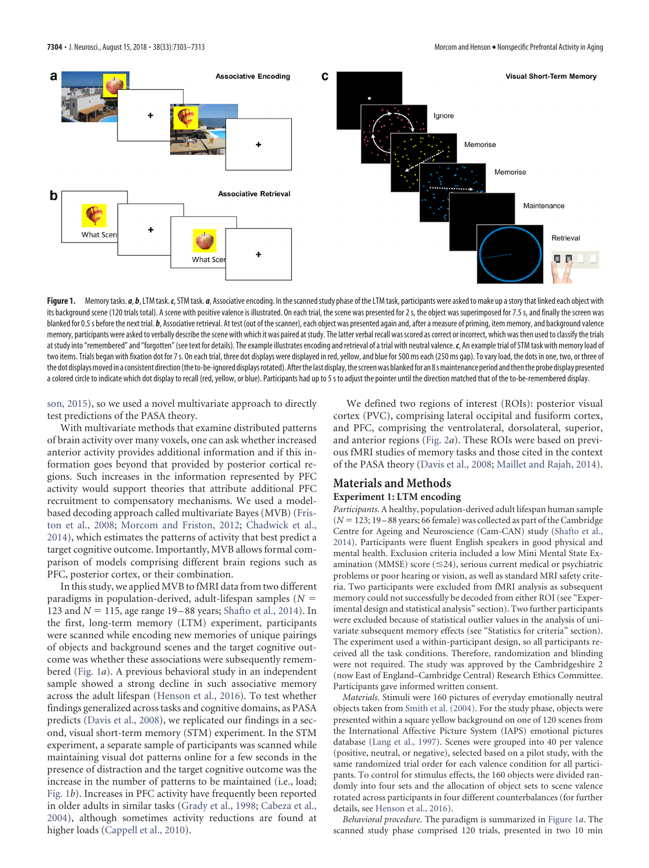

<span id="page-1-0"></span>Figure 1. Memory tasks. *a*, *b*, LTM task. *c*, STM task. *a*, Associative encoding. In the scanned study phase of the LTM task, participants were asked to make up a story that linked each object with its background scene (120 trials total). A scene with positive valence is illustrated. On each trial, the scene was presented for 2 s, the object was superimposed for 7.5 s, and finally the screen was blanked for 0.5s before the next trial. b, Associative retrieval. At test (out of the scanner), each object was presented again and, after a measure of priming, item memory, and background valence memory, participants were asked to verbally describe the scene with which it was paired at study. The latter verbal recall was scored as correct or incorrect, which was then used to classify the trials atstudy into "remembered" and "forgotten" (see text for details). The example illustrates encoding and retrieval of a trial with neutral valence.*c*, An example trial of STM task with memory load of two items. Trials began with fixation dot for 7s. On each trial, three dot displays were displayed in red, yellow, and blue for 500 ms each (250 ms gap). To vary load, the dots in one, two, or three of the dot displays moved in a consistent direction (the to-be-ignored displays rotated). After the last display, the screen was blanked for an 8 s maintenance period and then the probe display presented a colored circle to indicate which dot display to recall (red, yellow, or blue). Participants had up to 5 s to adjust the pointer until the direction matched that of the to-be-remembered display.

[son, 2015\)](#page-10-6), so we used a novel multivariate approach to directly test predictions of the PASA theory.

With multivariate methods that examine distributed patterns of brain activity over many voxels, one can ask whether increased anterior activity provides additional information and if this information goes beyond that provided by posterior cortical regions. Such increases in the information represented by PFC activity would support theories that attribute additional PFC recruitment to compensatory mechanisms. We used a modelbased decoding approach called multivariate Bayes (MVB) [\(Fris](#page-9-2)[ton et al., 2008;](#page-9-2) [Morcom and Friston, 2012;](#page-10-7) [Chadwick et al.,](#page-9-3) [2014\)](#page-9-3), which estimates the patterns of activity that best predict a target cognitive outcome. Importantly, MVB allows formal comparison of models comprising different brain regions such as PFC, posterior cortex, or their combination.

In this study, we applied MVB to fMRI data from two different paradigms in population-derived, adult-lifespan samples (*N* - 123 and  $N = 115$ , age range 19-88 years; [Shafto et al., 2014\)](#page-10-8). In the first, long-term memory (LTM) experiment, participants were scanned while encoding new memories of unique pairings of objects and background scenes and the target cognitive outcome was whether these associations were subsequently remembered [\(Fig. 1](#page-1-0)*a*). A previous behavioral study in an independent sample showed a strong decline in such associative memory across the adult lifespan [\(Henson et al., 2016\)](#page-10-9). To test whether findings generalized across tasks and cognitive domains, as PASA predicts [\(Davis et al., 2008\)](#page-9-0), we replicated our findings in a second, visual short-term memory (STM) experiment. In the STM experiment, a separate sample of participants was scanned while maintaining visual dot patterns online for a few seconds in the presence of distraction and the target cognitive outcome was the increase in the number of patterns to be maintained (i.e., load; [Fig. 1](#page-1-0)*b*). Increases in PFC activity have frequently been reported in older adults in similar tasks [\(Grady et al., 1998;](#page-10-10) [Cabeza et al.,](#page-9-4) [2004\)](#page-9-4), although sometimes activity reductions are found at higher loads [\(Cappell et al., 2010\)](#page-9-5).

We defined two regions of interest (ROIs): posterior visual cortex (PVC), comprising lateral occipital and fusiform cortex, and PFC, comprising the ventrolateral, dorsolateral, superior, and anterior regions [\(Fig. 2](#page-2-0)*a*). These ROIs were based on previous fMRI studies of memory tasks and those cited in the context of the PASA theory [\(Davis et al., 2008;](#page-9-0) [Maillet and Rajah, 2014\)](#page-10-11).

# **Materials and Methods Experiment 1: LTM encoding**

*Participants*. A healthy, population-derived adult lifespan human sample  $(N = 123; 19 - 88$  years; 66 female) was collected as part of the Cambridge Centre for Ageing and Neuroscience (Cam-CAN) study [\(Shafto et al.,](#page-10-8) [2014\)](#page-10-8). Participants were fluent English speakers in good physical and mental health. Exclusion criteria included a low Mini Mental State Examination (MMSE) score  $(\leq 24)$ , serious current medical or psychiatric problems or poor hearing or vision, as well as standard MRI safety criteria. Two participants were excluded from fMRI analysis as subsequent memory could not successfully be decoded from either ROI (see "Experimental design and statistical analysis" section). Two further participants were excluded because of statistical outlier values in the analysis of univariate subsequent memory effects (see "Statistics for criteria" section). The experiment used a within-participant design, so all participants received all the task conditions. Therefore, randomization and blinding were not required. The study was approved by the Cambridgeshire 2 (now East of England–Cambridge Central) Research Ethics Committee. Participants gave informed written consent.

*Materials*. Stimuli were 160 pictures of everyday emotionally neutral objects taken from [Smith et al. \(2004\).](#page-10-12) For the study phase, objects were presented within a square yellow background on one of 120 scenes from the International Affective Picture System (IAPS) emotional pictures database [\(Lang et al., 1997\)](#page-10-13). Scenes were grouped into 40 per valence (positive, neutral, or negative), selected based on a pilot study, with the same randomized trial order for each valence condition for all participants. To control for stimulus effects, the 160 objects were divided randomly into four sets and the allocation of object sets to scene valence rotated across participants in four different counterbalances (for further details, see [Henson et al., 2016\)](#page-10-9).

*Behavioral procedure*. The paradigm is summarized in [Figure 1](#page-1-0)*a*. The scanned study phase comprised 120 trials, presented in two 10 min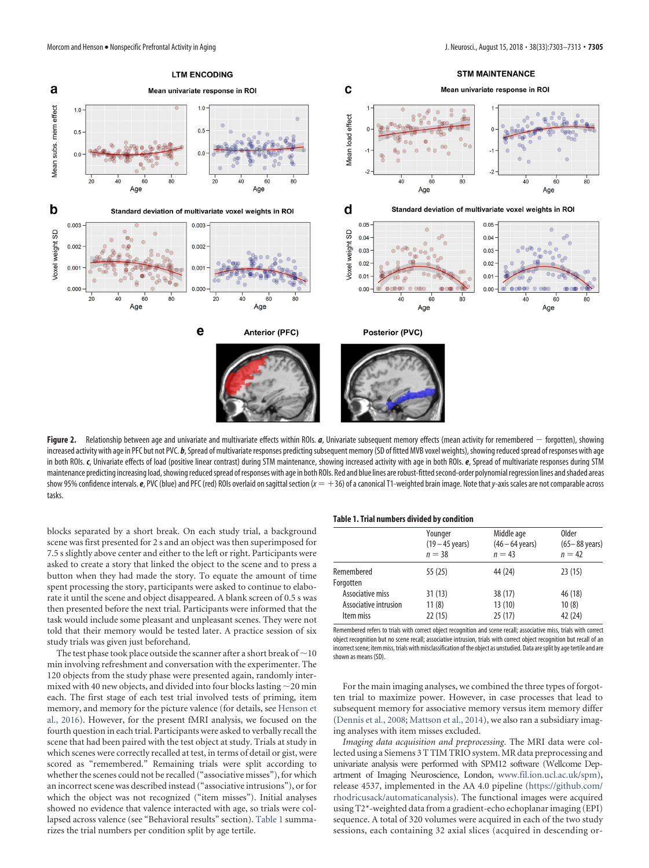

<span id="page-2-0"></span>Figure 2. Relationship between age and univariate and multivariate effects within ROIs. *a*, Univariate subsequent memory effects (mean activity for remembered  $-$  forgotten), showing increased activity with age in PFC but not PVC. b, Spread of multivariate responses predicting subsequent memory (SD of fitted MVB voxel weights), showing reduced spread of responses with age in both ROIs. *c*, Univariate effects of load (positive linear contrast) during STM maintenance, showing increased activity with age in both ROIs. *e*, Spread of multivariate responses during STM maintenance predicting increasing load, showing reduced spread of responses with age in both ROIs. Red and blue lines are robust-fitted second-order polynomial regression lines and shaded areas show 95% confidence intervals. **e**, PVC (blue) and PFC (red) ROIs overlaid on sagittal section ( $x = +36$ ) of a canonical T1-weighted brain image. Note that *y*-axis scales are not comparable across tasks.

blocks separated by a short break. On each study trial, a background scene was first presented for 2 s and an object was then superimposed for 7.5 s slightly above center and either to the left or right. Participants were asked to create a story that linked the object to the scene and to press a button when they had made the story. To equate the amount of time spent processing the story, participants were asked to continue to elaborate it until the scene and object disappeared. A blank screen of 0.5 s was then presented before the next trial. Participants were informed that the task would include some pleasant and unpleasant scenes. They were not told that their memory would be tested later. A practice session of six study trials was given just beforehand.

The test phase took place outside the scanner after a short break of  $\sim$  10 min involving refreshment and conversation with the experimenter. The 120 objects from the study phase were presented again, randomly intermixed with 40 new objects, and divided into four blocks lasting  $\sim$  20 min each. The first stage of each test trial involved tests of priming, item memory, and memory for the picture valence (for details, see [Henson et](#page-10-9) [al., 2016\)](#page-10-9). However, for the present fMRI analysis, we focused on the fourth question in each trial. Participants were asked to verbally recall the scene that had been paired with the test object at study. Trials at study in which scenes were correctly recalled at test, in terms of detail or gist, were scored as "remembered." Remaining trials were split according to whether the scenes could not be recalled ("associative misses"), for which an incorrect scene was described instead ("associative intrusions"), or for which the object was not recognized ("item misses"). Initial analyses showed no evidence that valence interacted with age, so trials were collapsed across valence (see "Behavioral results" section). [Table 1](#page-2-1) summarizes the trial numbers per condition split by age tertile.

#### <span id="page-2-1"></span>**Table 1. Trial numbers divided by condition**

|                       | Younger<br>$(19 - 45 \text{ years})$ | Middle age<br>$(46 - 64 \text{ years})$ | <b>Older</b><br>$(65-88 \text{ years})$ |  |  |
|-----------------------|--------------------------------------|-----------------------------------------|-----------------------------------------|--|--|
|                       | $n = 38$                             | $n = 43$                                | $n = 42$                                |  |  |
| Remembered            | 55(25)                               | 44 (24)                                 | 23(15)                                  |  |  |
| Forgotten             |                                      |                                         |                                         |  |  |
| Associative miss      | 31(13)                               | 38(17)                                  | 46 (18)                                 |  |  |
| Associative intrusion | 11(8)                                | 13(10)                                  | 10(8)                                   |  |  |
| Item miss             | 22(15)                               | 25(17)                                  | 42 (24)                                 |  |  |

Remembered refers to trials with correct object recognition and scene recall; associative miss, trials with correct object recognition but no scene recall; associative intrusion, trials with correct object recognition but recall of an incorrect scene; item miss, trials with misclassification of the object as unstudied. Data are split by age tertile and are shown as means (SD).

For the main imaging analyses, we combined the three types of forgotten trial to maximize power. However, in case processes that lead to subsequent memory for associative memory versus item memory differ [\(Dennis et al., 2008;](#page-9-6) [Mattson et al., 2014\)](#page-10-14), we also ran a subsidiary imaging analyses with item misses excluded.

*Imaging data acquisition and preprocessing*. The MRI data were collected using a Siemens 3 T TIM TRIO system. MR data preprocessing and univariate analysis were performed with SPM12 software (Wellcome Department of Imaging Neuroscience, London, www.fil.ion.ucl.ac.uk/spm), release 4537, implemented in the AA 4.0 pipeline [\(https://github.com/](https://github.com/rhodricusack/automaticanalysis) [rhodricusack/automaticanalysis\)](https://github.com/rhodricusack/automaticanalysis). The functional images were acquired using T2\*-weighted data from a gradient-echo echoplanar imaging (EPI) sequence. A total of 320 volumes were acquired in each of the two study sessions, each containing 32 axial slices (acquired in descending or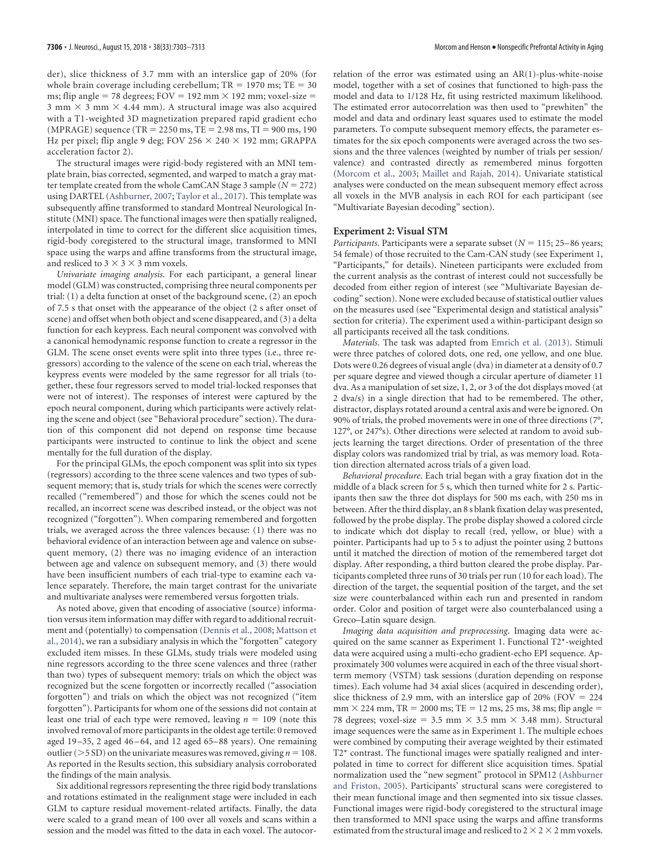der), slice thickness of 3.7 mm with an interslice gap of 20% (for whole brain coverage including cerebellum;  $TR = 1970$  ms;  $TE = 30$ ms; flip angle = 78 degrees;  $FOV = 192$  mm  $\times$  192 mm; voxel-size =  $3$  mm  $\times$  3 mm  $\times$  4.44 mm). A structural image was also acquired with a T1-weighted 3D magnetization prepared rapid gradient echo  $(MPRAGE)$  sequence  $(TR = 2250 \text{ ms}, TE = 2.98 \text{ ms}, TI = 900 \text{ ms}, 190$ Hz per pixel; flip angle 9 deg; FOV 256  $\times$  240  $\times$  192 mm; GRAPPA acceleration factor 2).

The structural images were rigid-body registered with an MNI template brain, bias corrected, segmented, and warped to match a gray matter template created from the whole CamCAN Stage 3 sample  $(N = 272)$ using DARTEL [\(Ashburner, 2007;](#page-9-7) [Taylor et al., 2017\)](#page-10-15). This template was subsequently affine transformed to standard Montreal Neurological Institute (MNI) space. The functional images were then spatially realigned, interpolated in time to correct for the different slice acquisition times, rigid-body coregistered to the structural image, transformed to MNI space using the warps and affine transforms from the structural image, and resliced to  $3 \times 3 \times 3$  mm voxels.

*Univariate imaging analysis*. For each participant, a general linear model (GLM) was constructed, comprising three neural components per trial: (1) a delta function at onset of the background scene, (2) an epoch of 7.5 s that onset with the appearance of the object (2 s after onset of scene) and offset when both object and scene disappeared, and (3) a delta function for each keypress. Each neural component was convolved with a canonical hemodynamic response function to create a regressor in the GLM. The scene onset events were split into three types (i.e., three regressors) according to the valence of the scene on each trial, whereas the keypress events were modeled by the same regressor for all trials (together, these four regressors served to model trial-locked responses that were not of interest). The responses of interest were captured by the epoch neural component, during which participants were actively relating the scene and object (see "Behavioral procedure" section). The duration of this component did not depend on response time because participants were instructed to continue to link the object and scene mentally for the full duration of the display.

For the principal GLMs, the epoch component was split into six types (regressors) according to the three scene valences and two types of subsequent memory; that is, study trials for which the scenes were correctly recalled ("remembered") and those for which the scenes could not be recalled, an incorrect scene was described instead, or the object was not recognized ("forgotten"). When comparing remembered and forgotten trials, we averaged across the three valences because: (1) there was no behavioral evidence of an interaction between age and valence on subsequent memory, (2) there was no imaging evidence of an interaction between age and valence on subsequent memory, and (3) there would have been insufficient numbers of each trial-type to examine each valence separately. Therefore, the main target contrast for the univariate and multivariate analyses were remembered versus forgotten trials.

As noted above, given that encoding of associative (source) information versus item information may differ with regard to additional recruitment and (potentially) to compensation [\(Dennis et al., 2008;](#page-9-6) [Mattson et](#page-10-14) [al., 2014\)](#page-10-14), we ran a subsidiary analysis in which the "forgotten" category excluded item misses. In these GLMs, study trials were modeled using nine regressors according to the three scene valences and three (rather than two) types of subsequent memory: trials on which the object was recognized but the scene forgotten or incorrectly recalled ("association forgotten") and trials on which the object was not recognized ("item forgotten"). Participants for whom one of the sessions did not contain at least one trial of each type were removed, leaving  $n = 109$  (note this involved removal of more participants in the oldest age tertile: 0 removed aged 19 –35, 2 aged 46 – 64, and 12 aged 65– 88 years). One remaining outlier ( $>$  5 SD) on the univariate measures was removed, giving  $n = 108$ . As reported in the Results section, this subsidiary analysis corroborated the findings of the main analysis.

Six additional regressors representing the three rigid body translations and rotations estimated in the realignment stage were included in each GLM to capture residual movement-related artifacts. Finally, the data were scaled to a grand mean of 100 over all voxels and scans within a session and the model was fitted to the data in each voxel. The autocorrelation of the error was estimated using an AR(1)-plus-white-noise model, together with a set of cosines that functioned to high-pass the model and data to 1/128 Hz, fit using restricted maximum likelihood. The estimated error autocorrelation was then used to "prewhiten" the model and data and ordinary least squares used to estimate the model parameters. To compute subsequent memory effects, the parameter estimates for the six epoch components were averaged across the two sessions and the three valences (weighted by number of trials per session/ valence) and contrasted directly as remembered minus forgotten [\(Morcom et al., 2003;](#page-10-16) [Maillet and Rajah, 2014\)](#page-10-11). Univariate statistical analyses were conducted on the mean subsequent memory effect across all voxels in the MVB analysis in each ROI for each participant (see "Multivariate Bayesian decoding" section).

## **Experiment 2: Visual STM**

*Participants*. Participants were a separate subset ( $N = 115$ ; 25–86 years; 54 female) of those recruited to the Cam-CAN study (see Experiment 1, "Participants," for details). Nineteen participants were excluded from the current analysis as the contrast of interest could not successfully be decoded from either region of interest (see "Multivariate Bayesian decoding" section). None were excluded because of statistical outlier values on the measures used (see "Experimental design and statistical analysis" section for criteria). The experiment used a within-participant design so all participants received all the task conditions.

*Materials*. The task was adapted from [Emrich et al. \(2013\).](#page-9-8) Stimuli were three patches of colored dots, one red, one yellow, and one blue. Dots were 0.26 degrees of visual angle (dva) in diameter at a density of 0.7 per square degree and viewed though a circular aperture of diameter 11 dva. As a manipulation of set size, 1, 2, or 3 of the dot displays moved (at 2 dva/s) in a single direction that had to be remembered. The other, distractor, displays rotated around a central axis and were be ignored. On 90% of trials, the probed movements were in one of three directions (7°, 127°, or 247°s). Other directions were selected at random to avoid subjects learning the target directions. Order of presentation of the three display colors was randomized trial by trial, as was memory load. Rotation direction alternated across trials of a given load.

*Behavioral procedure*. Each trial began with a gray fixation dot in the middle of a black screen for 5 s, which then turned white for 2 s. Participants then saw the three dot displays for 500 ms each, with 250 ms in between. After the third display, an 8 s blank fixation delay was presented, followed by the probe display. The probe display showed a colored circle to indicate which dot display to recall (red, yellow, or blue) with a pointer. Participants had up to 5 s to adjust the pointer using 2 buttons until it matched the direction of motion of the remembered target dot display. After responding, a third button cleared the probe display. Participants completed three runs of 30 trials per run (10 for each load). The direction of the target, the sequential position of the target, and the set size were counterbalanced within each run and presented in random order. Color and position of target were also counterbalanced using a Greco–Latin square design.

*Imaging data acquisition and preprocessing*. Imaging data were acquired on the same scanner as Experiment 1. Functional T2\*-weighted data were acquired using a multi-echo gradient-echo EPI sequence. Approximately 300 volumes were acquired in each of the three visual shortterm memory (VSTM) task sessions (duration depending on response times). Each volume had 34 axial slices (acquired in descending order), slice thickness of 2.9 mm, with an interslice gap of 20% (FOV  $= 224$  $mm \times 224$  mm,  $TR = 2000$  ms;  $TE = 12$  ms, 25 ms, 38 ms; flip angle = 78 degrees; voxel-size =  $3.5$  mm  $\times$   $3.5$  mm  $\times$   $3.48$  mm). Structural image sequences were the same as in Experiment 1. The multiple echoes were combined by computing their average weighted by their estimated T2\* contrast. The functional images were spatially realigned and interpolated in time to correct for different slice acquisition times. Spatial normalization used the "new segment" protocol in SPM12 [\(Ashburner](#page-9-9) [and Friston, 2005\)](#page-9-9). Participants' structural scans were coregistered to their mean functional image and then segmented into six tissue classes. Functional images were rigid-body coregistered to the structural image then transformed to MNI space using the warps and affine transforms estimated from the structural image and resliced to  $2 \times 2 \times 2$  mm voxels.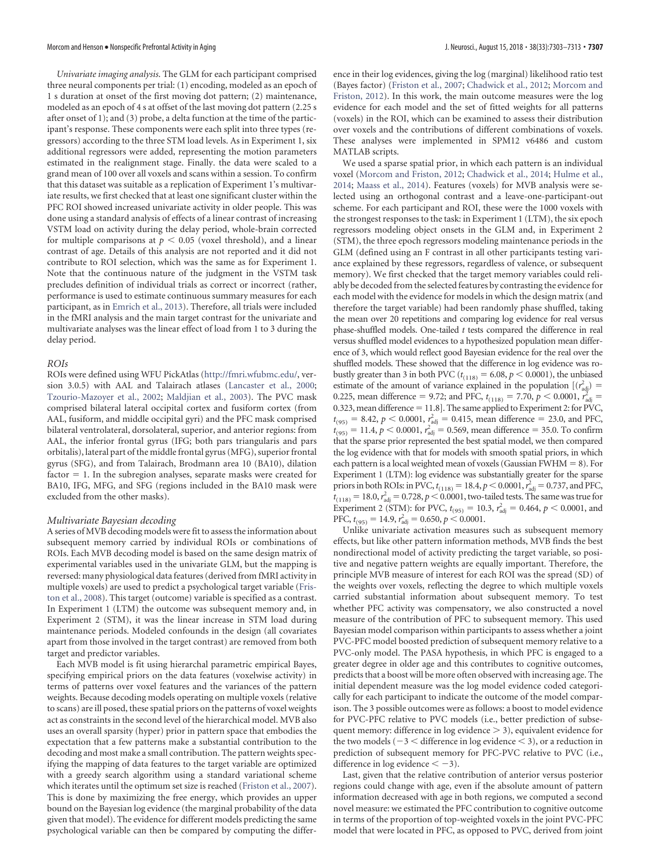*Univariate imaging analysis*. The GLM for each participant comprised three neural components per trial: (1) encoding, modeled as an epoch of 1 s duration at onset of the first moving dot pattern; (2) maintenance, modeled as an epoch of 4 s at offset of the last moving dot pattern (2.25 s after onset of 1); and (3) probe, a delta function at the time of the participant's response. These components were each split into three types (regressors) according to the three STM load levels. As in Experiment 1, six additional regressors were added, representing the motion parameters estimated in the realignment stage. Finally. the data were scaled to a grand mean of 100 over all voxels and scans within a session. To confirm that this dataset was suitable as a replication of Experiment 1's multivariate results, we first checked that at least one significant cluster within the PFC ROI showed increased univariate activity in older people. This was done using a standard analysis of effects of a linear contrast of increasing VSTM load on activity during the delay period, whole-brain corrected for multiple comparisons at  $p < 0.05$  (voxel threshold), and a linear contrast of age. Details of this analysis are not reported and it did not contribute to ROI selection, which was the same as for Experiment 1. Note that the continuous nature of the judgment in the VSTM task precludes definition of individual trials as correct or incorrect (rather, performance is used to estimate continuous summary measures for each participant, as in [Emrich et al., 2013\)](#page-9-8). Therefore, all trials were included in the fMRI analysis and the main target contrast for the univariate and multivariate analyses was the linear effect of load from 1 to 3 during the delay period.

#### *ROIs*

ROIs were defined using WFU PickAtlas (http://fmri.wfubmc.edu/, version 3.0.5) with AAL and Talairach atlases [\(Lancaster et al., 2000;](#page-10-17) [Tzourio-Mazoyer et al., 2002;](#page-10-18) [Maldjian et al., 2003\)](#page-10-19). The PVC mask comprised bilateral lateral occipital cortex and fusiform cortex (from AAL, fusiform, and middle occipital gyri) and the PFC mask comprised bilateral ventrolateral, dorsolateral, superior, and anterior regions: from AAL, the inferior frontal gyrus (IFG; both pars triangularis and pars orbitalis), lateral part of the middle frontal gyrus (MFG), superior frontal gyrus (SFG), and from Talairach, Brodmann area 10 (BA10), dilation factor = 1. In the subregion analyses, separate masks were created for BA10, IFG, MFG, and SFG (regions included in the BA10 mask were excluded from the other masks).

#### *Multivariate Bayesian decoding*

A series of MVB decoding models were fit to assess the information about subsequent memory carried by individual ROIs or combinations of ROIs. Each MVB decoding model is based on the same design matrix of experimental variables used in the univariate GLM, but the mapping is reversed: many physiological data features (derived from fMRI activity in multiple voxels) are used to predict a psychological target variable [\(Fris](#page-9-2)[ton et al., 2008\)](#page-9-2). This target (outcome) variable is specified as a contrast. In Experiment 1 (LTM) the outcome was subsequent memory and, in Experiment 2 (STM), it was the linear increase in STM load during maintenance periods. Modeled confounds in the design (all covariates apart from those involved in the target contrast) are removed from both target and predictor variables.

Each MVB model is fit using hierarchal parametric empirical Bayes, specifying empirical priors on the data features (voxelwise activity) in terms of patterns over voxel features and the variances of the pattern weights. Because decoding models operating on multiple voxels (relative to scans) are ill posed, these spatial priors on the patterns of voxel weights act as constraints in the second level of the hierarchical model. MVB also uses an overall sparsity (hyper) prior in pattern space that embodies the expectation that a few patterns make a substantial contribution to the decoding and most make a small contribution. The pattern weights specifying the mapping of data features to the target variable are optimized with a greedy search algorithm using a standard variational scheme which iterates until the optimum set size is reached [\(Friston et al., 2007\)](#page-9-10). This is done by maximizing the free energy, which provides an upper bound on the Bayesian log evidence (the marginal probability of the data given that model). The evidence for different models predicting the same psychological variable can then be compared by computing the difference in their log evidences, giving the log (marginal) likelihood ratio test (Bayes factor) [\(Friston et al., 2007;](#page-9-10) [Chadwick et al., 2012;](#page-9-11) [Morcom and](#page-10-7) [Friston, 2012\)](#page-10-7). In this work, the main outcome measures were the log evidence for each model and the set of fitted weights for all patterns (voxels) in the ROI, which can be examined to assess their distribution over voxels and the contributions of different combinations of voxels. These analyses were implemented in SPM12 v6486 and custom MATLAB scripts.

We used a sparse spatial prior, in which each pattern is an individual voxel [\(Morcom and Friston, 2012;](#page-10-7) [Chadwick et al., 2014;](#page-9-3) [Hulme et al.,](#page-10-20) [2014;](#page-10-20) [Maass et al., 2014\)](#page-10-21). Features (voxels) for MVB analysis were selected using an orthogonal contrast and a leave-one-participant-out scheme. For each participant and ROI, these were the 1000 voxels with the strongest responses to the task: in Experiment 1 (LTM), the six epoch regressors modeling object onsets in the GLM and, in Experiment 2 (STM), the three epoch regressors modeling maintenance periods in the GLM (defined using an F contrast in all other participants testing variance explained by these regressors, regardless of valence, or subsequent memory). We first checked that the target memory variables could reliably be decoded from the selected features by contrasting the evidence for each model with the evidence for models in which the design matrix (and therefore the target variable) had been randomly phase shuffled, taking the mean over 20 repetitions and comparing log evidence for real versus phase-shuffled models. One-tailed *t* tests compared the difference in real versus shuffled model evidences to a hypothesized population mean difference of 3, which would reflect good Bayesian evidence for the real over the shuffled models. These showed that the difference in log evidence was robustly greater than 3 in both PVC ( $t_{(118)} = 6.08$ ,  $p < 0.0001$ ), the unbiased estimate of the amount of variance explained in the population  $[(r_{\text{adj}}^2)]$ 0.225, mean difference = 9.72; and PFC,  $t_{(118)} = 7.70$ ,  $p < 0.0001$ ,  $r_{\text{adj}}^2 =$  $0.323$ , mean difference =  $11.8$ ]. The same applied to Experiment 2: for PVC,  $t_{(95)} = 8.42$ ,  $p < 0.0001$ ,  $r_{\text{adj}}^2 = 0.415$ , mean difference = 23.0, and PFC,  $t_{(95)} = 11.4, p < 0.0001, r<sub>adj</sub><sup>2</sup> = 0.569$ , mean difference = 35.0. To confirm that the sparse prior represented the best spatial model, we then compared the log evidence with that for models with smooth spatial priors, in which each pattern is a local weighted mean of voxels (Gaussian FWHM = 8). For Experiment 1 (LTM): log evidence was substantially greater for the sparse priors in both ROIs: in PVC,  $t_{(118)} = 18.4$ ,  $p < 0.0001$ ,  $r_{\text{adj}}^2 = 0.737$ , and PFC,  $t_{(118)} = 18.0, r^{2}_{\text{adj}} = 0.728, p < 0.0001$ , two-tailed tests. The same was true for Experiment 2 (STM): for PVC,  $t_{(95)} = 10.3$ ,  $r_{\text{adj}}^2 = 0.464$ ,  $p < 0.0001$ , and PFC,  $t_{(95)} = 14.9$ ,  $r_{\text{adj}}^2 = 0.650$ ,  $p \le 0.0001$ .

Unlike univariate activation measures such as subsequent memory effects, but like other pattern information methods, MVB finds the best nondirectional model of activity predicting the target variable, so positive and negative pattern weights are equally important. Therefore, the principle MVB measure of interest for each ROI was the spread (SD) of the weights over voxels, reflecting the degree to which multiple voxels carried substantial information about subsequent memory. To test whether PFC activity was compensatory, we also constructed a novel measure of the contribution of PFC to subsequent memory. This used Bayesian model comparison within participants to assess whether a joint PVC-PFC model boosted prediction of subsequent memory relative to a PVC-only model. The PASA hypothesis, in which PFC is engaged to a greater degree in older age and this contributes to cognitive outcomes, predicts that a boost will be more often observed with increasing age. The initial dependent measure was the log model evidence coded categorically for each participant to indicate the outcome of the model comparison. The 3 possible outcomes were as follows: a boost to model evidence for PVC-PFC relative to PVC models (i.e., better prediction of subsequent memory: difference in log evidence  $>$  3), equivalent evidence for the two models ( $-3 <$  difference in log evidence  $<$  3), or a reduction in prediction of subsequent memory for PFC-PVC relative to PVC (i.e., difference in log evidence  $\lt -3$ ).

Last, given that the relative contribution of anterior versus posterior regions could change with age, even if the absolute amount of pattern information decreased with age in both regions, we computed a second novel measure: we estimated the PFC contribution to cognitive outcome in terms of the proportion of top-weighted voxels in the joint PVC-PFC model that were located in PFC, as opposed to PVC, derived from joint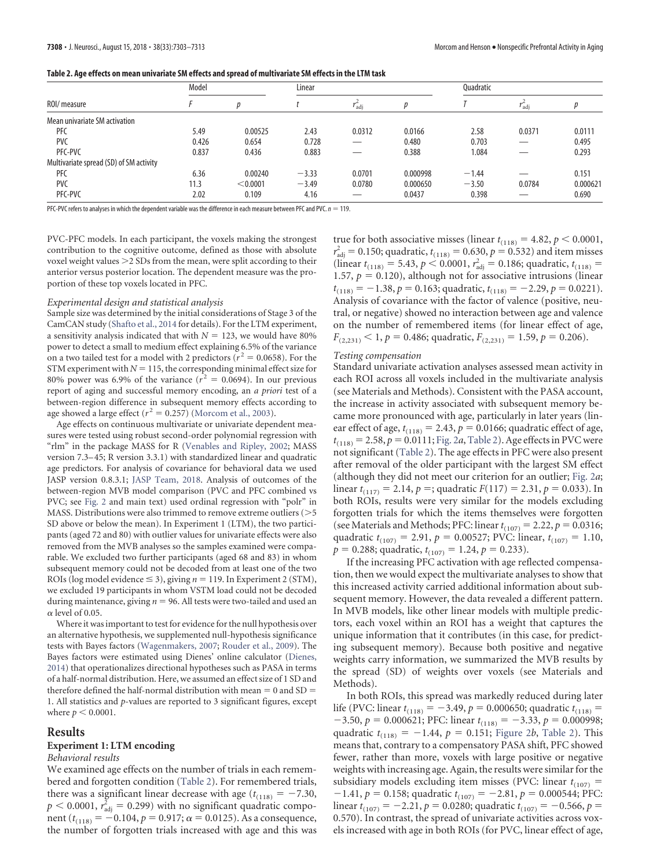<span id="page-5-0"></span>

| Table 2. Age effects on mean univariate SM effects and spread of multivariate SM effects in the LTM task |  |  |
|----------------------------------------------------------------------------------------------------------|--|--|
|                                                                                                          |  |  |

|                                         | Model |          | Linear  |        |          | <b>Ouadratic</b> |                  |          |
|-----------------------------------------|-------|----------|---------|--------|----------|------------------|------------------|----------|
| ROI/ measure                            |       |          |         | ∫adi   |          |                  | $I_{\text{adj}}$ |          |
| Mean univariate SM activation           |       |          |         |        |          |                  |                  |          |
| <b>PFC</b>                              | 5.49  | 0.00525  | 2.43    | 0.0312 | 0.0166   | 2.58             | 0.0371           | 0.0111   |
| <b>PVC</b>                              | 0.426 | 0.654    | 0.728   |        | 0.480    | 0.703            | _                | 0.495    |
| PFC-PVC                                 | 0.837 | 0.436    | 0.883   |        | 0.388    | 1.084            |                  | 0.293    |
| Multivariate spread (SD) of SM activity |       |          |         |        |          |                  |                  |          |
| <b>PFC</b>                              | 6.36  | 0.00240  | $-3.33$ | 0.0701 | 0.000998 | $-1.44$          |                  | 0.151    |
| <b>PVC</b>                              | 11.3  | < 0.0001 | $-3.49$ | 0.0780 | 0.000650 | $-3.50$          | 0.0784           | 0.000621 |
| PFC-PVC                                 | 2.02  | 0.109    | 4.16    |        | 0.0437   | 0.398            | _                | 0.690    |

PFC-PVC refers to analyses in which the dependent variable was the difference in each measure between PFC and PVC.  $n = 119$ .

PVC-PFC models. In each participant, the voxels making the strongest contribution to the cognitive outcome, defined as those with absolute voxel weight values  $>$  2 SDs from the mean, were split according to their anterior versus posterior location. The dependent measure was the proportion of these top voxels located in PFC.

#### *Experimental design and statistical analysis*

Sample size was determined by the initial considerations of Stage 3 of the CamCAN study [\(Shafto et al., 2014](#page-10-8) for details). For the LTM experiment, a sensitivity analysis indicated that with  $N = 123$ , we would have 80% power to detect a small to medium effect explaining 6.5% of the variance on a two tailed test for a model with 2 predictors ( $r^2 = 0.0658$ ). For the  $STM$  experiment with  $N = 115$ , the corresponding minimal effect size for 80% power was 6.9% of the variance  $(r^2 = 0.0694)$ . In our previous report of aging and successful memory encoding, an *a priori* test of a between-region difference in subsequent memory effects according to age showed a large effect  $(r^2 = 0.257)$  [\(Morcom et al., 2003\)](#page-10-16).

Age effects on continuous multivariate or univariate dependent measures were tested using robust second-order polynomial regression with "rlm" in the package MASS for R [\(Venables and Ripley, 2002;](#page-10-22) MASS version 7.3– 45; R version 3.3.1) with standardized linear and quadratic age predictors. For analysis of covariance for behavioral data we used JASP version 0.8.3.1; [JASP Team, 2018.](#page-10-23) Analysis of outcomes of the between-region MVB model comparison (PVC and PFC combined vs PVC; see [Fig. 2](#page-2-0) and main text) used ordinal regression with "polr" in MASS. Distributions were also trimmed to remove extreme outliers  $(>= 5$ SD above or below the mean). In Experiment 1 (LTM), the two participants (aged 72 and 80) with outlier values for univariate effects were also removed from the MVB analyses so the samples examined were comparable. We excluded two further participants (aged 68 and 83) in whom subsequent memory could not be decoded from at least one of the two ROIs (log model evidence  $\leq$  3), giving  $n = 119$ . In Experiment 2 (STM), we excluded 19 participants in whom VSTM load could not be decoded during maintenance, giving  $n = 96$ . All tests were two-tailed and used an  $\alpha$  level of 0.05.

Where it was important to test for evidence for the null hypothesis over an alternative hypothesis, we supplemented null-hypothesis significance tests with Bayes factors [\(Wagenmakers, 2007;](#page-10-24) [Rouder et al., 2009\)](#page-10-25). The Bayes factors were estimated using Dienes' online calculator [\(Dienes,](#page-9-12) [2014\)](#page-9-12) that operationalizes directional hypotheses such as PASA in terms of a half-normal distribution. Here, we assumed an effect size of 1 SD and therefore defined the half-normal distribution with mean  $= 0$  and SD  $=$ 1. All statistics and *p*-values are reported to 3 significant figures, except where  $p < 0.0001$ .

## **Results**

#### **Experiment 1: LTM encoding**

#### *Behavioral results*

We examined age effects on the number of trials in each remembered and forgotten condition [\(Table 2\)](#page-5-0). For remembered trials, there was a significant linear decrease with age  $(t_{(118)} = -7.30,$  $p < 0.0001$ ,  $r_{\text{adj}}^2 = 0.299$ ) with no significant quadratic component ( $t_{(118)} = -0.104$ ,  $p = 0.917$ ;  $\alpha = 0.0125$ ). As a consequence, the number of forgotten trials increased with age and this was

true for both associative misses (linear  $t_{(118)} = 4.82$ ,  $p < 0.0001$ ,  $r_{\rm adj}^2 = 0.150$ ; quadratic,  $t_{(118)} = 0.630, p = 0.532$ ) and item misses  $\text{(linear } t_{(118)} = 5.43, p \leq 0.0001, r_{\text{adj}}^2 = 0.186; \text{ quadratic}, t_{(118)} =$ 1.57,  $p = 0.120$ ), although not for associative intrusions (linear  $t_{(118)} = -1.38$ ,  $p = 0.163$ ; quadratic,  $t_{(118)} = -2.29$ ,  $p = 0.0221$ ). Analysis of covariance with the factor of valence (positive, neutral, or negative) showed no interaction between age and valence on the number of remembered items (for linear effect of age,  $F_{(2,231)} < 1, p = 0.486$ ; quadratic,  $F_{(2,231)} = 1.59, p = 0.206$ ).

#### *Testing compensation*

Standard univariate activation analyses assessed mean activity in each ROI across all voxels included in the multivariate analysis (see Materials and Methods). Consistent with the PASA account, the increase in activity associated with subsequent memory became more pronounced with age, particularly in later years (linear effect of age,  $t_{(118)} = 2.43$ ,  $p = 0.0166$ ; quadratic effect of age,  $t_{(118)} = 2.58, p = 0.0111;$  [Fig. 2](#page-2-0)*a*, [Table 2\)](#page-5-0). Age effects in PVC were not significant [\(Table 2\)](#page-5-0). The age effects in PFC were also present after removal of the older participant with the largest SM effect (although they did not meet our criterion for an outlier; [Fig. 2](#page-2-0)*a*;  $\text{linear } t_{(117)} = 2.14, p =; \text{quadratic } F(117) = 2.31, p = 0.033). \text{ In}$ both ROIs, results were very similar for the models excluding forgotten trials for which the items themselves were forgotten (see Materials and Methods; PFC: linear  $t_{(107)} = 2.22$ ,  $p = 0.0316$ ; quadratic  $t_{(107)} = 2.91$ ,  $p = 0.00527$ ; PVC: linear,  $t_{(107)} = 1.10$ ,  $p = 0.288$ ; quadratic,  $t_{(107)} = 1.24$ ,  $p = 0.233$ ).

If the increasing PFC activation with age reflected compensation, then we would expect the multivariate analyses to show that this increased activity carried additional information about subsequent memory. However, the data revealed a different pattern. In MVB models, like other linear models with multiple predictors, each voxel within an ROI has a weight that captures the unique information that it contributes (in this case, for predicting subsequent memory). Because both positive and negative weights carry information, we summarized the MVB results by the spread (SD) of weights over voxels (see Materials and Methods).

In both ROIs, this spread was markedly reduced during later life (PVC: linear  $t_{(118)} = -3.49$ ,  $p = 0.000650$ ; quadratic  $t_{(118)} =$  $-3.50, p = 0.000621;$  PFC: linear  $t_{(118)} = -3.33, p = 0.000998;$ quadratic  $t_{(118)} = -1.44$ ,  $p = 0.151$ ; [Figure 2](#page-2-0)*b*, [Table 2\)](#page-5-0). This means that, contrary to a compensatory PASA shift, PFC showed fewer, rather than more, voxels with large positive or negative weights with increasing age. Again, the results were similar for the subsidiary models excluding item misses (PVC: linear  $t_{(107)} =$  $-1.41, p = 0.158$ ; quadratic  $t_{(107)} = -2.81, p = 0.000544$ ; PFC:  $\text{linear } t_{(107)} = -2.21, p = 0.0280; \text{quadratic } t_{(107)} = -0.566, p = 0.0280$ 0.570). In contrast, the spread of univariate activities across voxels increased with age in both ROIs (for PVC, linear effect of age,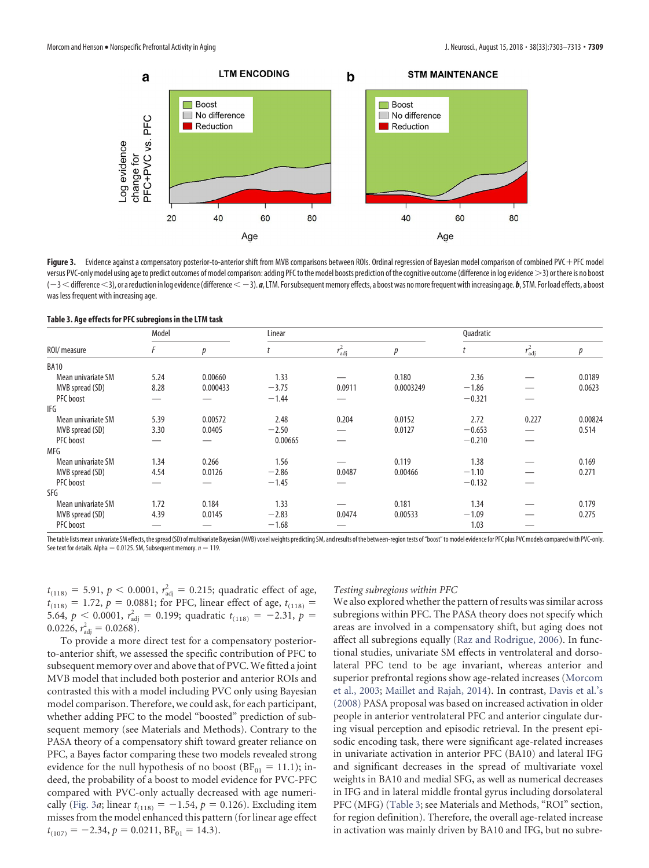

<span id="page-6-0"></span>Figure 3. Evidence against a compensatory posterior-to-anterior shift from MVB comparisons between ROIs. Ordinal regression of Bayesian model comparison of combined PVC + PFC model versus PVC-only model using age to predict outcomes of model comparison: adding PFC to the model boosts prediction of the cognitive outcome (difference in log evidence >3) or there is no boost (-3 < difference <3), or a reduction in log evidence (difference < -3).  $a$ , LTM. For subsequent memory effects, a boost was no more frequent with increasing age. *b*, STM. For load effects, a boost was less frequent with increasing age.

<span id="page-6-1"></span>

| ROI/ measure       | Model |          | Linear  |                 |           | Quadratic |                 |         |
|--------------------|-------|----------|---------|-----------------|-----------|-----------|-----------------|---------|
|                    | F     | р        |         | $r_{\rm adj}^2$ | р         |           | $r_{\rm adj}^2$ | p       |
| <b>BA10</b>        |       |          |         |                 |           |           |                 |         |
| Mean univariate SM | 5.24  | 0.00660  | 1.33    |                 | 0.180     | 2.36      |                 | 0.0189  |
| MVB spread (SD)    | 8.28  | 0.000433 | $-3.75$ | 0.0911          | 0.0003249 | $-1.86$   |                 | 0.0623  |
| PFC boost          |       |          | $-1.44$ |                 |           | $-0.321$  |                 |         |
| IFG                |       |          |         |                 |           |           |                 |         |
| Mean univariate SM | 5.39  | 0.00572  | 2.48    | 0.204           | 0.0152    | 2.72      | 0.227           | 0.00824 |
| MVB spread (SD)    | 3.30  | 0.0405   | $-2.50$ | —               | 0.0127    | $-0.653$  |                 | 0.514   |
| PFC boost          |       | –        | 0.00665 | –               |           | $-0.210$  |                 |         |
| MFG                |       |          |         |                 |           |           |                 |         |
| Mean univariate SM | 1.34  | 0.266    | 1.56    |                 | 0.119     | 1.38      |                 | 0.169   |
| MVB spread (SD)    | 4.54  | 0.0126   | $-2.86$ | 0.0487          | 0.00466   | $-1.10$   |                 | 0.271   |
| PFC boost          |       |          | $-1.45$ |                 |           | $-0.132$  |                 |         |
| SFG                |       |          |         |                 |           |           |                 |         |
| Mean univariate SM | 1.72  | 0.184    | 1.33    |                 | 0.181     | 1.34      |                 | 0.179   |
| MVB spread (SD)    | 4.39  | 0.0145   | $-2.83$ | 0.0474          | 0.00533   | $-1.09$   |                 | 0.275   |
| PFC boost          |       |          | $-1.68$ |                 |           | 1.03      |                 |         |

The table lists mean univariate SM effects, the spread (SD) of multivariate Bayesian (MVB) voxel weights predicting SM, and results of the between-region tests of "boost" to model evidence for PFC plus PVC models compared See text for details. Alpha = 0.0125. SM, Subsequent memory.  $n = 119$ .

 $t_{(118)} = 5.91$ ,  $p < 0.0001$ ,  $r_{\text{adj}}^2 = 0.215$ ; quadratic effect of age,  $t_{(118)} = 1.72$ ,  $p = 0.0881$ ; for PFC, linear effect of age,  $t_{(118)} =$ 5.64,  $p < 0.0001$ ,  $r_{\text{adj}}^2 = 0.199$ ; quadratic  $t_{(118)} = -2.31$ ,  $p =$  $0.0226, r_{\text{adj}}^2 = 0.0268.$ 

To provide a more direct test for a compensatory posteriorto-anterior shift, we assessed the specific contribution of PFC to subsequent memory over and above that of PVC.We fitted a joint MVB model that included both posterior and anterior ROIs and contrasted this with a model including PVC only using Bayesian model comparison. Therefore, we could ask, for each participant, whether adding PFC to the model "boosted" prediction of subsequent memory (see Materials and Methods). Contrary to the PASA theory of a compensatory shift toward greater reliance on PFC, a Bayes factor comparing these two models revealed strong evidence for the null hypothesis of no boost  $(BF_{01} = 11.1)$ ; indeed, the probability of a boost to model evidence for PVC-PFC compared with PVC-only actually decreased with age numeri-cally [\(Fig. 3](#page-6-0)*a*; linear  $t_{(118)} = -1.54$ ,  $p = 0.126$ ). Excluding item misses from the model enhanced this pattern (for linear age effect  $t_{(107)} = -2.34, p = 0.0211, BF_{01} = 14.3$ .

## *Testing subregions within PFC*

We also explored whether the pattern of results was similar across subregions within PFC. The PASA theory does not specify which areas are involved in a compensatory shift, but aging does not affect all subregions equally [\(Raz and Rodrigue, 2006\)](#page-10-4). In functional studies, univariate SM effects in ventrolateral and dorsolateral PFC tend to be age invariant, whereas anterior and superior prefrontal regions show age-related increases [\(Morcom](#page-10-16) [et al., 2003;](#page-10-16) [Maillet and Rajah, 2014\)](#page-10-11). In contrast, [Davis et al.'s](#page-9-0) [\(2008\)](#page-9-0) PASA proposal was based on increased activation in older people in anterior ventrolateral PFC and anterior cingulate during visual perception and episodic retrieval. In the present episodic encoding task, there were significant age-related increases in univariate activation in anterior PFC (BA10) and lateral IFG and significant decreases in the spread of multivariate voxel weights in BA10 and medial SFG, as well as numerical decreases in IFG and in lateral middle frontal gyrus including dorsolateral PFC (MFG) [\(Table 3;](#page-6-1) see Materials and Methods, "ROI" section, for region definition). Therefore, the overall age-related increase in activation was mainly driven by BA10 and IFG, but no subre-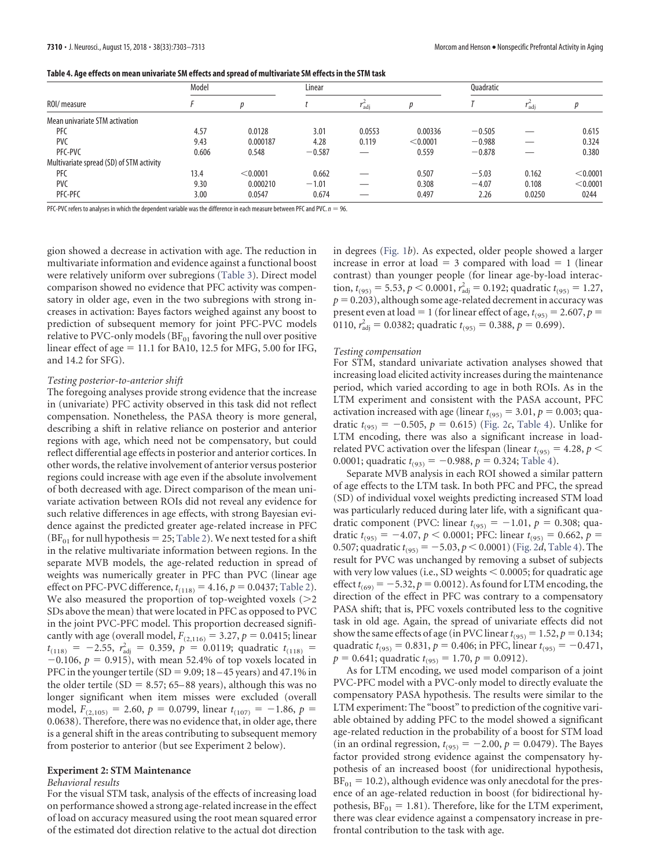<span id="page-7-0"></span>

| Table 4. Age effects on mean univariate SM effects and spread of multivariate SM effects in the STM task |  |
|----------------------------------------------------------------------------------------------------------|--|
|                                                                                                          |  |

| ROI/ measure                             | Model |          | Linear   |                  |          | <b>Ouadratic</b> |                  |          |
|------------------------------------------|-------|----------|----------|------------------|----------|------------------|------------------|----------|
|                                          |       |          |          | $I_{\text{adi}}$ |          |                  | <sup>I</sup> adi |          |
| Mean univariate STM activation           |       |          |          |                  |          |                  |                  |          |
| <b>PFC</b>                               | 4.57  | 0.0128   | 3.01     | 0.0553           | 0.00336  | $-0.505$         |                  | 0.615    |
| <b>PVC</b>                               | 9.43  | 0.000187 | 4.28     | 0.119            | < 0.0001 | $-0.988$         |                  | 0.324    |
| PFC-PVC                                  | 0.606 | 0.548    | $-0.587$ |                  | 0.559    | $-0.878$         |                  | 0.380    |
| Multivariate spread (SD) of STM activity |       |          |          |                  |          |                  |                  |          |
| <b>PFC</b>                               | 13.4  | < 0.0001 | 0.662    |                  | 0.507    | $-5.03$          | 0.162            | < 0.0001 |
| <b>PVC</b>                               | 9.30  | 0.000210 | $-1.01$  |                  | 0.308    | $-4.07$          | 0.108            | < 0.0001 |
| PFC-PFC                                  | 3.00  | 0.0547   | 0.674    |                  | 0.497    | 2.26             | 0.0250           | 0244     |

PFC-PVC refers to analyses in which the dependent variable was the difference in each measure between PFC and PVC.  $n = 96$ .

gion showed a decrease in activation with age. The reduction in multivariate information and evidence against a functional boost were relatively uniform over subregions [\(Table 3\)](#page-6-1). Direct model comparison showed no evidence that PFC activity was compensatory in older age, even in the two subregions with strong increases in activation: Bayes factors weighed against any boost to prediction of subsequent memory for joint PFC-PVC models relative to PVC-only models ( $BF_{01}$  favoring the null over positive linear effect of  $age = 11.1$  for BA10, 12.5 for MFG, 5.00 for IFG, and 14.2 for SFG).

# *Testing posterior-to-anterior shift*

The foregoing analyses provide strong evidence that the increase in (univariate) PFC activity observed in this task did not reflect compensation. Nonetheless, the PASA theory is more general, describing a shift in relative reliance on posterior and anterior regions with age, which need not be compensatory, but could reflect differential age effects in posterior and anterior cortices. In other words, the relative involvement of anterior versus posterior regions could increase with age even if the absolute involvement of both decreased with age. Direct comparison of the mean univariate activation between ROIs did not reveal any evidence for such relative differences in age effects, with strong Bayesian evidence against the predicted greater age-related increase in PFC  $(BF_{01}$  for null hypothesis = 25; [Table 2\)](#page-5-0). We next tested for a shift in the relative multivariate information between regions. In the separate MVB models, the age-related reduction in spread of weights was numerically greater in PFC than PVC (linear age effect on PFC-PVC difference,  $t_{(118)} = 4.16$ ,  $p = 0.0437$ ; [Table 2\)](#page-5-0). We also measured the proportion of top-weighted voxels  $(>= 2$ SDs above the mean) that were located in PFC as opposed to PVC in the joint PVC-PFC model. This proportion decreased significantly with age (overall model,  $F_{(2,116)} = 3.27, p = 0.0415$ ; linear  $t_{(118)} = -2.55$ ,  $r_{\text{adj}}^2 = 0.359$ ,  $p = 0.0119$ ; quadratic  $t_{(118)} =$  $-0.106$ ,  $p = 0.915$ ), with mean 52.4% of top voxels located in PFC in the younger tertile (SD = 9.09;  $18-45$  years) and  $47.1\%$  in the older tertile (SD =  $8.57$ ; 65–88 years), although this was no longer significant when item misses were excluded (overall model,  $F_{(2,105)} = 2.60$ ,  $p = 0.0799$ , linear  $t_{(107)} = -1.86$ ,  $p =$ 0.0638). Therefore, there was no evidence that, in older age, there is a general shift in the areas contributing to subsequent memory from posterior to anterior (but see Experiment 2 below).

# **Experiment 2: STM Maintenance**

# *Behavioral results*

For the visual STM task, analysis of the effects of increasing load on performance showed a strong age-related increase in the effect of load on accuracy measured using the root mean squared error of the estimated dot direction relative to the actual dot direction

in degrees [\(Fig. 1](#page-1-0)*b*). As expected, older people showed a larger increase in error at  $load = 3$  compared with  $load = 1$  (linear contrast) than younger people (for linear age-by-load interaction,  $t_{(95)} = 5.53$ ,  $p < 0.0001$ ,  $r_{\text{adj}}^2 = 0.192$ ; quadratic  $t_{(95)} = 1.27$ ,  $p = 0.203$ ), although some age-related decrement in accuracy was present even at load = 1 (for linear effect of age,  $t_{(95)} = 2.607$ ,  $p =$ 0110,  $r_{\text{adj}}^2 = 0.0382$ ; quadratic  $t_{(95)} = 0.388$ ,  $p = 0.699$ ).

#### *Testing compensation*

For STM, standard univariate activation analyses showed that increasing load elicited activity increases during the maintenance period, which varied according to age in both ROIs. As in the LTM experiment and consistent with the PASA account, PFC activation increased with age (linear  $t_{(95)} = 3.01$ ,  $p = 0.003$ ; quadratic  $t_{(95)} = -0.505$ ,  $p = 0.615$ ) [\(Fig. 2](#page-2-0)*c*, [Table 4\)](#page-7-0). Unlike for LTM encoding, there was also a significant increase in loadrelated PVC activation over the lifespan (linear  $t_{(95)} = 4.28$ ,  $p <$ 0.0001; quadratic  $t_{(93)} = -0.988$ ,  $p = 0.324$ ; [Table 4\)](#page-7-0).

Separate MVB analysis in each ROI showed a similar pattern of age effects to the LTM task. In both PFC and PFC, the spread (SD) of individual voxel weights predicting increased STM load was particularly reduced during later life, with a significant quadratic component (PVC: linear  $t_{(95)} = -1.01$ ,  $p = 0.308$ ; quadratic  $t_{(95)} = -4.07$ ,  $p < 0.0001$ ; PFC: linear  $t_{(95)} = 0.662$ ,  $p =$ 0.507; quadratic  $t_{(95)} = -5.03, p \le 0.0001$ ) [\(Fig. 2](#page-2-0)*d*, [Table 4\)](#page-7-0). The result for PVC was unchanged by removing a subset of subjects with very low values (i.e., SD weights  $< 0.0005$ ; for quadratic age effect  $t_{(69)} = -5.32$ ,  $p = 0.0012$ ). As found for LTM encoding, the direction of the effect in PFC was contrary to a compensatory PASA shift; that is, PFC voxels contributed less to the cognitive task in old age. Again, the spread of univariate effects did not show the same effects of age (in PVC linear  $t_{(95)} = 1.52$ ,  $p = 0.134$ ; quadratic  $t_{(95)} = 0.831$ ,  $p = 0.406$ ; in PFC, linear  $t_{(95)} = -0.471$ ,  $p = 0.641$ ; quadratic  $t_{(95)} = 1.70$ ,  $p = 0.0912$ ).

As for LTM encoding, we used model comparison of a joint PVC-PFC model with a PVC-only model to directly evaluate the compensatory PASA hypothesis. The results were similar to the LTM experiment: The "boost" to prediction of the cognitive variable obtained by adding PFC to the model showed a significant age-related reduction in the probability of a boost for STM load  $(in$  an ordinal regression,  $t_{(95)} = -2.00, p = 0.0479$ . The Bayes factor provided strong evidence against the compensatory hypothesis of an increased boost (for unidirectional hypothesis,  $BF_{01} = 10.2$ ), although evidence was only anecdotal for the presence of an age-related reduction in boost (for bidirectional hypothesis,  $BF_{01} = 1.81$ ). Therefore, like for the LTM experiment, there was clear evidence against a compensatory increase in prefrontal contribution to the task with age.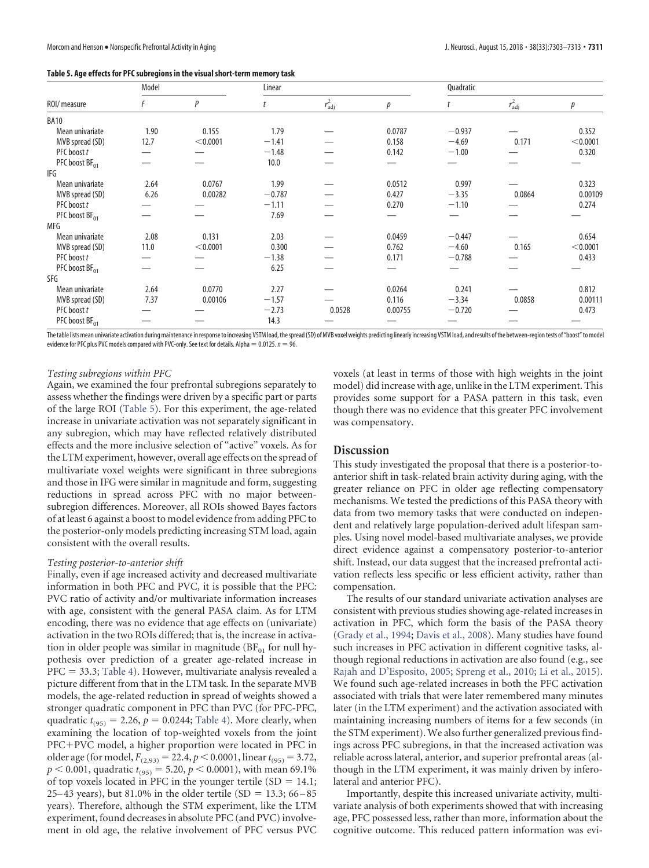<span id="page-8-0"></span>

| Table 5. Age effects for PFC subregions in the visual short-term memory task |  |
|------------------------------------------------------------------------------|--|
|                                                                              |  |

|                            | Model |          |          | Linear          |         |          | Quadratic       |          |  |
|----------------------------|-------|----------|----------|-----------------|---------|----------|-----------------|----------|--|
| ROI/ measure               | F     | P        |          | $r_{\rm adj}^2$ | р       | t        | $r_{\rm adj}^2$ | р        |  |
| <b>BA10</b>                |       |          |          |                 |         |          |                 |          |  |
| Mean univariate            | 1.90  | 0.155    | 1.79     |                 | 0.0787  | $-0.937$ |                 | 0.352    |  |
| MVB spread (SD)            | 12.7  | < 0.0001 | $-1.41$  |                 | 0.158   | $-4.69$  | 0.171           | < 0.0001 |  |
| PFC boost t                |       |          | $-1.48$  |                 | 0.142   | $-1.00$  |                 | 0.320    |  |
| PFC boost BF <sub>01</sub> |       |          | 10.0     |                 |         |          |                 |          |  |
| IFG                        |       |          |          |                 |         |          |                 |          |  |
| Mean univariate            | 2.64  | 0.0767   | 1.99     |                 | 0.0512  | 0.997    |                 | 0.323    |  |
| MVB spread (SD)            | 6.26  | 0.00282  | $-0.787$ |                 | 0.427   | $-3.35$  | 0.0864          | 0.00109  |  |
| PFC boost t                |       |          | $-1.11$  |                 | 0.270   | $-1.10$  |                 | 0.274    |  |
| PFC boost BF <sub>01</sub> |       |          | 7.69     |                 |         |          |                 |          |  |
| MFG                        |       |          |          |                 |         |          |                 |          |  |
| Mean univariate            | 2.08  | 0.131    | 2.03     |                 | 0.0459  | $-0.447$ |                 | 0.654    |  |
| MVB spread (SD)            | 11.0  | < 0.0001 | 0.300    |                 | 0.762   | $-4.60$  | 0.165           | < 0.0001 |  |
| PFC boost t                |       |          | $-1.38$  |                 | 0.171   | $-0.788$ |                 | 0.433    |  |
| PFC boost BF <sub>01</sub> |       |          | 6.25     |                 |         |          |                 |          |  |
| SFG                        |       |          |          |                 |         |          |                 |          |  |
| Mean univariate            | 2.64  | 0.0770   | 2.27     |                 | 0.0264  | 0.241    |                 | 0.812    |  |
| MVB spread (SD)            | 7.37  | 0.00106  | $-1.57$  |                 | 0.116   | $-3.34$  | 0.0858          | 0.00111  |  |
| PFC boost t                |       |          | $-2.73$  | 0.0528          | 0.00755 | $-0.720$ |                 | 0.473    |  |
| PFC boost BF <sub>01</sub> |       |          | 14.3     |                 |         |          |                 |          |  |

The table lists mean univariate activation during maintenance in response to increasing VSTM load, the spread (SD) of MVB voxel weights predicting linearly increasing VSTM load, and results of the between-region tests of " evidence for PFC plus PVC models compared with PVC-only. See text for details. Alpha  $= 0.0125$ .  $n = 96$ .

## *Testing subregions within PFC*

Again, we examined the four prefrontal subregions separately to assess whether the findings were driven by a specific part or parts of the large ROI [\(Table 5\)](#page-8-0). For this experiment, the age-related increase in univariate activation was not separately significant in any subregion, which may have reflected relatively distributed effects and the more inclusive selection of "active" voxels. As for the LTM experiment, however, overall age effects on the spread of multivariate voxel weights were significant in three subregions and those in IFG were similar in magnitude and form, suggesting reductions in spread across PFC with no major betweensubregion differences. Moreover, all ROIs showed Bayes factors of at least 6 against a boost to model evidence from adding PFC to the posterior-only models predicting increasing STM load, again consistent with the overall results.

# *Testing posterior-to-anterior shift*

Finally, even if age increased activity and decreased multivariate information in both PFC and PVC, it is possible that the PFC: PVC ratio of activity and/or multivariate information increases with age, consistent with the general PASA claim. As for LTM encoding, there was no evidence that age effects on (univariate) activation in the two ROIs differed; that is, the increase in activation in older people was similar in magnitude  $(BF_{01})$  for null hypothesis over prediction of a greater age-related increase in PFC = 33.3; [Table 4\)](#page-7-0). However, multivariate analysis revealed a picture different from that in the LTM task. In the separate MVB models, the age-related reduction in spread of weights showed a stronger quadratic component in PFC than PVC (for PFC-PFC, quadratic  $t_{(95)} = 2.26$ ,  $p = 0.0244$ ; [Table 4\)](#page-7-0). More clearly, when examining the location of top-weighted voxels from the joint PFC+PVC model, a higher proportion were located in PFC in older age (for model,  $F_{(2,93)} = 22.4, p < 0.0001$ , linear  $t_{(95)} = 3.72$ ,  $p < 0.001$ , quadratic  $t_{(95)} = 5.20$ ,  $p < 0.0001$ ), with mean 69.1% of top voxels located in PFC in the younger tertile  $(SD = 14.1;$ 25–43 years), but 81.0% in the older tertile (SD =  $13.3$ ; 66–85 years). Therefore, although the STM experiment, like the LTM experiment, found decreases in absolute PFC (and PVC) involvement in old age, the relative involvement of PFC versus PVC voxels (at least in terms of those with high weights in the joint model) did increase with age, unlike in the LTM experiment. This provides some support for a PASA pattern in this task, even though there was no evidence that this greater PFC involvement was compensatory.

# **Discussion**

This study investigated the proposal that there is a posterior-toanterior shift in task-related brain activity during aging, with the greater reliance on PFC in older age reflecting compensatory mechanisms. We tested the predictions of this PASA theory with data from two memory tasks that were conducted on independent and relatively large population-derived adult lifespan samples. Using novel model-based multivariate analyses, we provide direct evidence against a compensatory posterior-to-anterior shift. Instead, our data suggest that the increased prefrontal activation reflects less specific or less efficient activity, rather than compensation.

The results of our standard univariate activation analyses are consistent with previous studies showing age-related increases in activation in PFC, which form the basis of the PASA theory [\(Grady et al., 1994;](#page-10-26) [Davis et al., 2008\)](#page-9-0). Many studies have found such increases in PFC activation in different cognitive tasks, although regional reductions in activation are also found (e.g., see [Rajah and D'Esposito, 2005;](#page-10-27) [Spreng et al., 2010;](#page-10-28) [Li et al., 2015\)](#page-10-29). We found such age-related increases in both the PFC activation associated with trials that were later remembered many minutes later (in the LTM experiment) and the activation associated with maintaining increasing numbers of items for a few seconds (in the STM experiment). We also further generalized previous findings across PFC subregions, in that the increased activation was reliable across lateral, anterior, and superior prefrontal areas (although in the LTM experiment, it was mainly driven by inferolateral and anterior PFC).

Importantly, despite this increased univariate activity, multivariate analysis of both experiments showed that with increasing age, PFC possessed less, rather than more, information about the cognitive outcome. This reduced pattern information was evi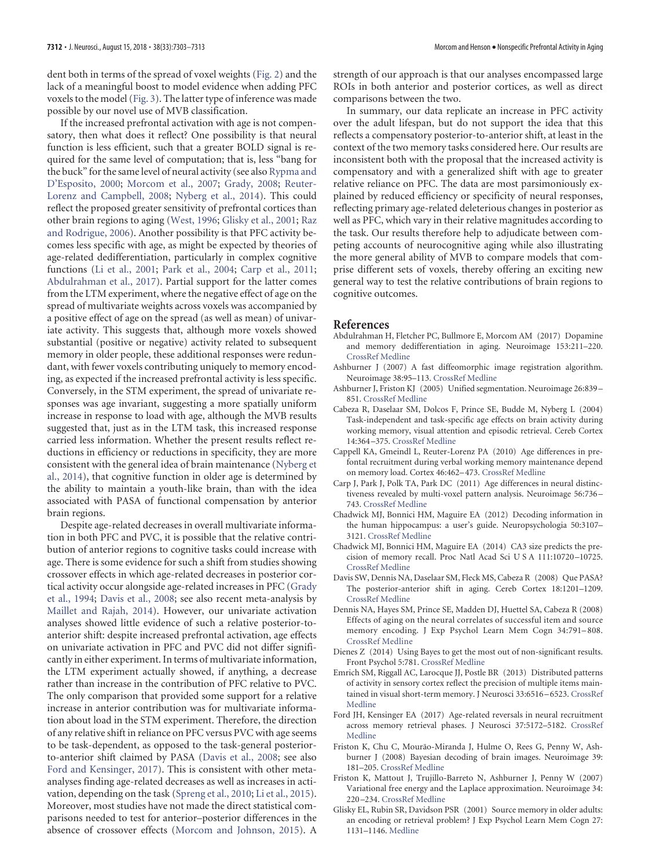dent both in terms of the spread of voxel weights [\(Fig. 2\)](#page-2-0) and the lack of a meaningful boost to model evidence when adding PFC voxels to the model [\(Fig. 3\)](#page-6-0). The latter type of inference was made possible by our novel use of MVB classification.

If the increased prefrontal activation with age is not compensatory, then what does it reflect? One possibility is that neural function is less efficient, such that a greater BOLD signal is required for the same level of computation; that is, less "bang for the buck" for the same level of neural activity (see also [Rypma and](#page-10-30) [D'Esposito, 2000;](#page-10-30) [Morcom et al., 2007;](#page-10-31) [Grady, 2008;](#page-10-32) [Reuter-](#page-10-33)[Lorenz and Campbell, 2008;](#page-10-33) [Nyberg et al., 2014\)](#page-10-34). This could reflect the proposed greater sensitivity of prefrontal cortices than other brain regions to aging [\(West, 1996;](#page-10-2) [Glisky et al., 2001;](#page-9-1) [Raz](#page-10-4) [and Rodrigue, 2006\)](#page-10-4). Another possibility is that PFC activity becomes less specific with age, as might be expected by theories of age-related dedifferentiation, particularly in complex cognitive functions [\(Li et al., 2001;](#page-10-35) [Park et al., 2004;](#page-10-3) [Carp et al., 2011;](#page-9-13) [Abdulrahman et al., 2017\)](#page-9-14). Partial support for the latter comes from the LTM experiment, where the negative effect of age on the spread of multivariate weights across voxels was accompanied by a positive effect of age on the spread (as well as mean) of univariate activity. This suggests that, although more voxels showed substantial (positive or negative) activity related to subsequent memory in older people, these additional responses were redundant, with fewer voxels contributing uniquely to memory encoding, as expected if the increased prefrontal activity is less specific. Conversely, in the STM experiment, the spread of univariate responses was age invariant, suggesting a more spatially uniform increase in response to load with age, although the MVB results suggested that, just as in the LTM task, this increased response carried less information. Whether the present results reflect reductions in efficiency or reductions in specificity, they are more consistent with the general idea of brain maintenance [\(Nyberg et](#page-10-34) [al., 2014\)](#page-10-34), that cognitive function in older age is determined by the ability to maintain a youth-like brain, than with the idea associated with PASA of functional compensation by anterior brain regions.

Despite age-related decreases in overall multivariate information in both PFC and PVC, it is possible that the relative contribution of anterior regions to cognitive tasks could increase with age. There is some evidence for such a shift from studies showing crossover effects in which age-related decreases in posterior cortical activity occur alongside age-related increases in PFC [\(Grady](#page-10-26) [et al., 1994;](#page-10-26) [Davis et al., 2008;](#page-9-0) see also recent meta-analysis by [Maillet and Rajah, 2014\)](#page-10-11). However, our univariate activation analyses showed little evidence of such a relative posterior-toanterior shift: despite increased prefrontal activation, age effects on univariate activation in PFC and PVC did not differ significantly in either experiment. In terms of multivariate information, the LTM experiment actually showed, if anything, a decrease rather than increase in the contribution of PFC relative to PVC. The only comparison that provided some support for a relative increase in anterior contribution was for multivariate information about load in the STM experiment. Therefore, the direction of any relative shift in reliance on PFC versus PVC with age seems to be task-dependent, as opposed to the task-general posteriorto-anterior shift claimed by PASA [\(Davis et al., 2008;](#page-9-0) see also [Ford and Kensinger, 2017\)](#page-9-15). This is consistent with other metaanalyses finding age-related decreases as well as increases in activation, depending on the task [\(Spreng et al., 2010;](#page-10-28) [Li et al., 2015\)](#page-10-29). Moreover, most studies have not made the direct statistical comparisons needed to test for anterior–posterior differences in the absence of crossover effects [\(Morcom and Johnson, 2015\)](#page-10-6). A

strength of our approach is that our analyses encompassed large ROIs in both anterior and posterior cortices, as well as direct comparisons between the two.

In summary, our data replicate an increase in PFC activity over the adult lifespan, but do not support the idea that this reflects a compensatory posterior-to-anterior shift, at least in the context of the two memory tasks considered here. Our results are inconsistent both with the proposal that the increased activity is compensatory and with a generalized shift with age to greater relative reliance on PFC. The data are most parsimoniously explained by reduced efficiency or specificity of neural responses, reflecting primary age-related deleterious changes in posterior as well as PFC, which vary in their relative magnitudes according to the task. Our results therefore help to adjudicate between competing accounts of neurocognitive aging while also illustrating the more general ability of MVB to compare models that comprise different sets of voxels, thereby offering an exciting new general way to test the relative contributions of brain regions to cognitive outcomes.

# **References**

- <span id="page-9-14"></span>Abdulrahman H, Fletcher PC, Bullmore E, Morcom AM (2017) Dopamine and memory dedifferentiation in aging. Neuroimage 153:211–220. [CrossRef](http://dx.doi.org/10.1016/j.neuroimage.2015.03.031) [Medline](http://www.ncbi.nlm.nih.gov/pubmed/25800211)
- <span id="page-9-7"></span>Ashburner J (2007) A fast diffeomorphic image registration algorithm. Neuroimage 38:95–113. [CrossRef](http://dx.doi.org/10.1016/j.neuroimage.2007.07.007) [Medline](http://www.ncbi.nlm.nih.gov/pubmed/17761438)
- <span id="page-9-9"></span>Ashburner J, Friston KJ (2005) Unified segmentation. Neuroimage 26:839 – 851. [CrossRef](http://dx.doi.org/10.1016/j.neuroimage.2005.02.018) [Medline](http://www.ncbi.nlm.nih.gov/pubmed/15955494)
- <span id="page-9-4"></span>Cabeza R, Daselaar SM, Dolcos F, Prince SE, Budde M, Nyberg L (2004) Task-independent and task-specific age effects on brain activity during working memory, visual attention and episodic retrieval. Cereb Cortex 14:364 –375. [CrossRef](http://dx.doi.org/10.1093/cercor/bhg133) [Medline](http://www.ncbi.nlm.nih.gov/pubmed/15028641)
- <span id="page-9-5"></span>Cappell KA, Gmeindl L, Reuter-Lorenz PA (2010) Age differences in prefontal recruitment during verbal working memory maintenance depend on memory load. Cortex 46:462–473. [CrossRef](http://dx.doi.org/10.1016/j.cortex.2009.11.009) [Medline](http://www.ncbi.nlm.nih.gov/pubmed/20097332)
- <span id="page-9-13"></span>Carp J, Park J, Polk TA, Park DC (2011) Age differences in neural distinctiveness revealed by multi-voxel pattern analysis. Neuroimage 56:736 – 743. [CrossRef](http://dx.doi.org/10.1016/j.neuroimage.2010.04.267) [Medline](http://www.ncbi.nlm.nih.gov/pubmed/20451629)
- <span id="page-9-11"></span>Chadwick MJ, Bonnici HM, Maguire EA (2012) Decoding information in the human hippocampus: a user's guide. Neuropsychologia 50:3107– 3121. [CrossRef](http://dx.doi.org/10.1016/j.neuropsychologia.2012.07.007) [Medline](http://www.ncbi.nlm.nih.gov/pubmed/22820344)
- <span id="page-9-3"></span>Chadwick MJ, Bonnici HM, Maguire EA (2014) CA3 size predicts the precision of memory recall. Proc Natl Acad Sci U S A 111:10720 –10725. [CrossRef](http://dx.doi.org/10.1073/pnas.1319641111) [Medline](http://www.ncbi.nlm.nih.gov/pubmed/25002463)
- <span id="page-9-0"></span>Davis SW, Dennis NA, Daselaar SM, Fleck MS, Cabeza R (2008) Que PASA? The posterior-anterior shift in aging. Cereb Cortex 18:1201–1209. [CrossRef](http://dx.doi.org/10.1093/cercor/bhm155) [Medline](http://www.ncbi.nlm.nih.gov/pubmed/17925295)
- <span id="page-9-6"></span>Dennis NA, Hayes SM, Prince SE, Madden DJ, Huettel SA, Cabeza R (2008) Effects of aging on the neural correlates of successful item and source memory encoding. J Exp Psychol Learn Mem Cogn 34:791–808. [CrossRef](http://dx.doi.org/10.1037/0278-7393.34.4.791) [Medline](http://www.ncbi.nlm.nih.gov/pubmed/18605869)
- <span id="page-9-12"></span>Dienes Z (2014) Using Bayes to get the most out of non-significant results. Front Psychol 5:781. [CrossRef](http://dx.doi.org/10.3389/fpsyg.2014.00781) [Medline](http://www.ncbi.nlm.nih.gov/pubmed/25120503)
- <span id="page-9-8"></span>Emrich SM, Riggall AC, Larocque JJ, Postle BR (2013) Distributed patterns of activity in sensory cortex reflect the precision of multiple items maintained in visual short-term memory. J Neurosci 33:6516 –6523. [CrossRef](http://dx.doi.org/10.1523/JNEUROSCI.5732-12.2013) [Medline](http://www.ncbi.nlm.nih.gov/pubmed/23575849)
- <span id="page-9-15"></span>Ford JH, Kensinger EA (2017) Age-related reversals in neural recruitment across memory retrieval phases. J Neurosci 37:5172–5182. [CrossRef](http://dx.doi.org/10.1523/JNEUROSCI.0521-17.2017) [Medline](http://www.ncbi.nlm.nih.gov/pubmed/28442537)
- <span id="page-9-2"></span>Friston K, Chu C, Mourão-Miranda J, Hulme O, Rees G, Penny W, Ashburner J (2008) Bayesian decoding of brain images. Neuroimage 39: 181–205. [CrossRef](http://dx.doi.org/10.1016/j.neuroimage.2007.08.013) [Medline](http://www.ncbi.nlm.nih.gov/pubmed/17919928)
- <span id="page-9-10"></span>Friston K, Mattout J, Trujillo-Barreto N, Ashburner J, Penny W (2007) Variational free energy and the Laplace approximation. Neuroimage 34: 220 –234. [CrossRef](http://dx.doi.org/10.1016/j.neuroimage.2006.08.035) [Medline](http://www.ncbi.nlm.nih.gov/pubmed/17055746)
- <span id="page-9-1"></span>Glisky EL, Rubin SR, Davidson PSR (2001) Source memory in older adults: an encoding or retrieval problem? J Exp Psychol Learn Mem Cogn 27: 1131–1146. [Medline](http://www.ncbi.nlm.nih.gov/pubmed/11550742)